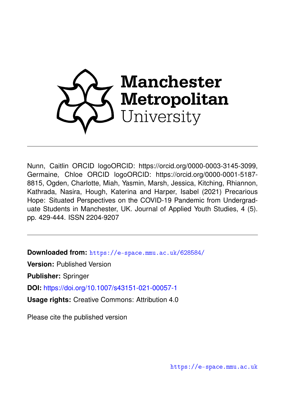

Nunn, Caitlin ORCID logoORCID: https://orcid.org/0000-0003-3145-3099, Germaine, Chloe ORCID logoORCID: https://orcid.org/0000-0001-5187- 8815, Ogden, Charlotte, Miah, Yasmin, Marsh, Jessica, Kitching, Rhiannon, Kathrada, Nasira, Hough, Katerina and Harper, Isabel (2021) Precarious Hope: Situated Perspectives on the COVID-19 Pandemic from Undergraduate Students in Manchester, UK. Journal of Applied Youth Studies, 4 (5). pp. 429-444. ISSN 2204-9207

**Downloaded from:** <https://e-space.mmu.ac.uk/628584/>

**Version:** Published Version

**Publisher:** Springer

**DOI:** <https://doi.org/10.1007/s43151-021-00057-1>

**Usage rights:** Creative Commons: Attribution 4.0

Please cite the published version

<https://e-space.mmu.ac.uk>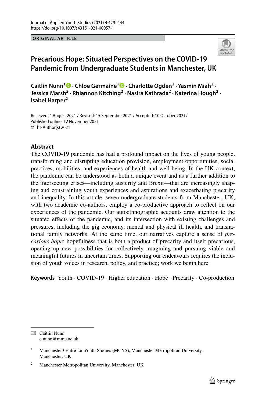### **ORIGINAL ARTICLE**



# **Precarious Hope: Situated Perspectives on the COVID‑19 Pandemic from Undergraduate Students in Manchester, UK**

**CaitlinNunn<sup>1</sup> • Chloe Germaine<sup>1</sup> • Charlotte Ogden<sup>2</sup> [·](http://orcid.org/0000-0001-5187-8815) Yasmin Miah<sup>2</sup> · Jessica Marsh<sup>2</sup> · Rhiannon Kitching<sup>2</sup> · Nasira Kathrada2 · Katerina Hough2 · Isabel Harper2**

Received: 4 August 2021 / Revised: 15 September 2021 / Accepted: 10 October 2021 / © The Author(s) 2021 Published online: 12 November 2021

### **Abstract**

The COVID-19 pandemic has had a profound impact on the lives of young people, transforming and disrupting education provision, employment opportunities, social practices, mobilities, and experiences of health and well-being. In the UK context, the pandemic can be understood as both a unique event and as a further addition to the intersecting crises—including austerity and Brexit—that are increasingly shaping and constraining youth experiences and aspirations and exacerbating precarity and inequality. In this article, seven undergraduate students from Manchester, UK, with two academic co-authors, employ a co-productive approach to refect on our experiences of the pandemic. Our autoethnographic accounts draw attention to the situated efects of the pandemic, and its intersection with existing challenges and pressures, including the gig economy, mental and physical ill health, and transnational family networks. At the same time, our narratives capture a sense of *precarious hope*: hopefulness that is both a product of precarity and itself precarious, opening up new possibilities for collectively imagining and pursuing viable and meaningful futures in uncertain times. Supporting our endeavours requires the inclusion of youth voices in research, policy, and practice; work we begin here.

**Keywords** Youth · COVID-19 · Higher education · Hope · Precarity · Co-production

 $\boxtimes$  Caitlin Nunn c.nunn@mmu.ac.uk

<sup>&</sup>lt;sup>1</sup> Manchester Centre for Youth Studies (MCYS), Manchester Metropolitan University, Manchester, UK

<sup>2</sup> Manchester Metropolitan University, Manchester, UK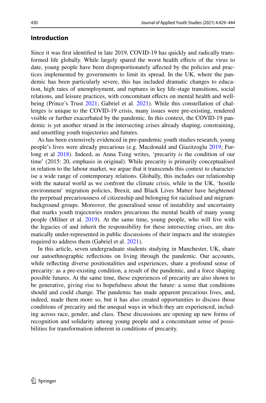### **Introduction**

Since it was frst identifed in late 2019, COVID-19 has quickly and radically transformed life globally. While largely spared the worst health efects of the virus to date, young people have been disproportionately afected by the policies and practices implemented by governments to limit its spread. In the UK, where the pandemic has been particularly severe, this has included dramatic changes to education, high rates of unemployment, and ruptures in key life-stage transitions, social relations, and leisure practices, with concomitant efects on mental health and wellbeing (Prince's Trust [2021](#page-16-0); Gabriel et al. [2021\)](#page-15-0). While this constellation of challenges is unique to the COVID-19 crisis, many issues were pre-existing, rendered visible or further exacerbated by the pandemic. In this context, the COVID-19 pandemic is yet another strand in the intersecting crises already shaping, constraining, and unsettling youth trajectories and futures.

As has been extensively evidenced in pre-pandemic youth studies research, young people's lives were already precarious (e.g. Macdonald and Giazitzoglu [2019](#page-15-1); Furlong et al [2018](#page-15-2)). Indeed, as Anna Tsing writes, 'precarity *is* the condition of our time' (2015: 20, emphasis in original). While precarity is primarily conceptualised in relation to the labour market, we argue that it transcends this context to characterise a wide range of contemporary relations. Globally, this includes our relationship with the natural world as we confront the climate crisis, while in the UK, 'hostile environment' migration policies, Brexit, and Black Lives Matter have heightened the perpetual precariousness of citizenship and belonging for racialised and migrantbackground groups. Moreover, the generalised sense of instability and uncertainty that marks youth trajectories renders precarious the mental health of many young people (Milner et al. [2019\)](#page-16-1). At the same time, young people, who will live with the legacies of and inherit the responsibility for these intersecting crises, are dramatically under-represented in public discussions of their impacts and the strategies required to address them (Gabriel et al. [2021\)](#page-15-0).

In this article, seven undergraduate students studying in Manchester, UK, share our autoethnographic refections on living through the pandemic. Our accounts, while refecting diverse positionalities and experiences, share a profound sense of precarity: as a pre-existing condition, a result of the pandemic, and a force shaping possible futures. At the same time, these experiences of precarity are also shown to be generative, giving rise to hopefulness about the future: a sense that conditions should and could change. The pandemic has made apparent precarious lives, and, indeed, made them more so, but it has also created opportunities to discuss those conditions of precarity and the unequal ways in which they are experienced, including across race, gender, and class. These discussions are opening up new forms of recognition and solidarity among young people and a concomitant sense of possibilities for transformation inherent in conditions of precarity.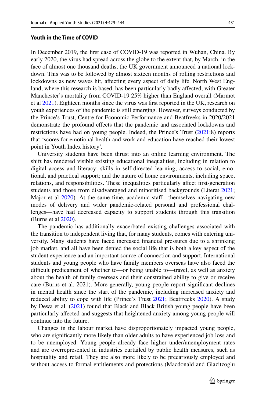### **Youth in the Time of COVID**

In December 2019, the frst case of COVID-19 was reported in Wuhan, China. By early 2020, the virus had spread across the globe to the extent that, by March, in the face of almost one thousand deaths, the UK government announced a national lockdown. This was to be followed by almost sixteen months of rolling restrictions and lockdowns as new waves hit, affecting every aspect of daily life. North West England, where this research is based, has been particularly badly afected, with Greater Manchester's mortality from COVID-19 25% higher than England overall (Marmot et al [2021\)](#page-15-3). Eighteen months since the virus was frst reported in the UK, research on youth experiences of the pandemic is still emerging. However, surveys conducted by the Prince's Trust, Centre for Economic Performance and Beatfreeks in 2020/2021 demonstrate the profound efects that the pandemic and associated lockdowns and restrictions have had on young people. Indeed, the Prince's Trust ([2021:](#page-16-0)8) reports that 'scores for emotional health and work and education have reached their lowest point in Youth Index history'.

University students have been thrust into an online learning environment. The shift has rendered visible existing educational inequalities, including in relation to digital access and literacy; skills in self-directed learning; access to social, emotional, and practical support; and the nature of home environments, including space, relations, and responsibilities. These inequalities particularly afect frst-generation students and those from disadvantaged and minoritised backgrounds (Literat [2021;](#page-15-4) Major et al [2020](#page-15-5)). At the same time, academic staf—themselves navigating new modes of delivery and wider pandemic-related personal and professional challenges—have had decreased capacity to support students through this transition (Burns et al [2020](#page-15-6)).

The pandemic has additionally exacerbated existing challenges associated with the transition to independent living that, for many students, comes with entering university. Many students have faced increased fnancial pressures due to a shrinking job market, and all have been denied the social life that is both a key aspect of the student experience and an important source of connection and support. International students and young people who have family members overseas have also faced the difficult predicament of whether to—or being unable to—travel, as well as anxiety about the health of family overseas and their constrained ability to give or receive care (Burns et al. 2021). More generally, young people report signifcant declines in mental health since the start of the pandemic, including increased anxiety and reduced ability to cope with life (Prince's Trust [2021;](#page-16-0) Beatfreeks [2020](#page-15-7)). A study by Dewa et al. [\(2021](#page-15-8)) found that Black and Black British young people have been particularly afected and suggests that heightened anxiety among young people will continue into the future.

Changes in the labour market have disproportionately impacted young people, who are signifcantly more likely than older adults to have experienced job loss and to be unemployed. Young people already face higher under/unemployment rates and are overrepresented in industries curtailed by public health measures, such as hospitality and retail. They are also more likely to be precariously employed and without access to formal entitlements and protections (Macdonald and Giazitzoglu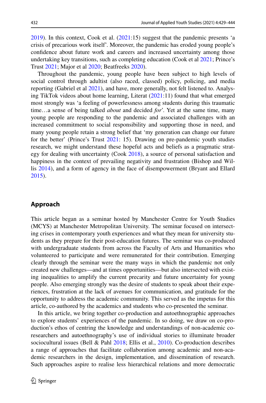[2019](#page-15-1)). In this context, Cook et al. [\(2021](#page-15-9):15) suggest that the pandemic presents 'a crisis of precarious work itself'. Moreover, the pandemic has eroded young people's confdence about future work and careers and increased uncertainty among those undertaking key transitions, such as completing education (Cook et al [2021;](#page-15-9) Prince's Trust [2021;](#page-16-0) Major et al [2020](#page-15-5); Beatfreeks [2020\)](#page-15-7).

Throughout the pandemic, young people have been subject to high levels of social control through adultist (also raced, classed) policy, policing, and media reporting (Gabriel et al [2021](#page-15-0)), and have, more generally, not felt listened to. Analysing TikTok videos about home learning, Literat [\(2021](#page-15-4):11) found that what emerged most strongly was 'a feeling of powerlessness among students during this traumatic time…a sense of being talked *about* and decided *for*'. Yet at the same time, many young people are responding to the pandemic and associated challenges with an increased commitment to social responsibility and supporting those in need, and many young people retain a strong belief that 'my generation can change our future for the better' (Prince's Trust [2021:](#page-16-0) 15). Drawing on pre-pandemic youth studies research, we might understand these hopeful acts and beliefs as a pragmatic strategy for dealing with uncertainty (Cook [2018](#page-15-10)), a source of personal satisfaction and happiness in the context of prevailing negativity and frustration (Bishop and Willis [2014\)](#page-15-11), and a form of agency in the face of disempowerment (Bryant and Ellard [2015](#page-15-12)).

# **Approach**

This article began as a seminar hosted by Manchester Centre for Youth Studies (MCYS) at Manchester Metropolitan University. The seminar focused on intersecting crises in contemporary youth experiences and what they mean for university students as they prepare for their post-education futures. The seminar was co-produced with undergraduate students from across the Faculty of Arts and Humanities who volunteered to participate and were remunerated for their contribution. Emerging clearly through the seminar were the many ways in which the pandemic not only created new challenges—and at times opportunities—but also intersected with existing inequalities to amplify the current precarity and future uncertainty for young people. Also emerging strongly was the desire of students to speak about their experiences, frustration at the lack of avenues for communication, and gratitude for the opportunity to address the academic community. This served as the impetus for this article, co-authored by the academics and students who co-presented the seminar.

In this article, we bring together co-production and autoethnographic approaches to explore students' experiences of the pandemic. In so doing, we draw on co-production's ethos of centring the knowledge and understandings of non-academic coresearchers and autoethnography's use of individual stories to illuminate broader sociocultural issues (Bell & Pahl [2018;](#page-15-13) Ellis et al., [2010\)](#page-15-14). Co-production describes a range of approaches that facilitate collaboration among academic and non-academic researchers in the design, implementation, and dissemination of research. Such approaches aspire to realise less hierarchical relations and more democratic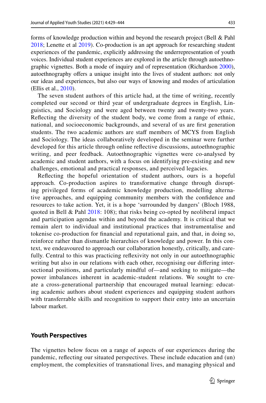forms of knowledge production within and beyond the research project (Bell & Pahl [2018](#page-15-13); Lenette et al [2019\)](#page-15-15). Co-production is an apt approach for researching student experiences of the pandemic, explicitly addressing the underrepresentation of youth voices. Individual student experiences are explored in the article through autoethnographic vignettes. Both a mode of inquiry and of representation (Richardson [2000\)](#page-16-2), autoethnography offers a unique insight into the lives of student authors: not only our ideas and experiences, but also our ways of knowing and modes of articulation (Ellis et al., [2010\)](#page-15-14).

The seven student authors of this article had, at the time of writing, recently completed our second or third year of undergraduate degrees in English, Linguistics, and Sociology and were aged between twenty and twenty-two years. Refecting the diversity of the student body, we come from a range of ethnic, national, and socioeconomic backgrounds, and several of us are frst generation students. The two academic authors are staf members of MCYS from English and Sociology. The ideas collaboratively developed in the seminar were further developed for this article through online refective discussions, autoethnographic writing, and peer feedback. Autoethnographic vignettes were co-analysed by academic and student authors, with a focus on identifying pre-existing and new challenges, emotional and practical responses, and perceived legacies.

Refecting the hopeful orientation of student authors, ours is a hopeful approach. Co-production aspires to transformative change through disrupting privileged forms of academic knowledge production, modelling alternative approaches, and equipping community members with the confdence and resources to take action. Yet, it is a hope 'surrounded by dangers' (Bloch 1988, quoted in Bell & Pahl [2018:](#page-15-13) 108); that risks being co-opted by neoliberal impact and participation agendas within and beyond the academy. It is critical that we remain alert to individual and institutional practices that instrumentalise and tokenise co-production for fnancial and reputational gain, and that, in doing so, reinforce rather than dismantle hierarchies of knowledge and power. In this context, we endeavoured to approach our collaboration honestly, critically, and carefully. Central to this was practicing refexivity not only in our autoethnographic writing but also in our relations with each other, recognising our difering intersectional positions, and particularly mindful of—and seeking to mitigate—the power imbalances inherent in academic-student relations. We sought to create a cross-generational partnership that encouraged mutual learning: educating academic authors about student experiences and equipping student authors with transferrable skills and recognition to support their entry into an uncertain labour market.

### **Youth Perspectives**

The vignettes below focus on a range of aspects of our experiences during the pandemic, refecting our situated perspectives. These include education and (un) employment, the complexities of transnational lives, and managing physical and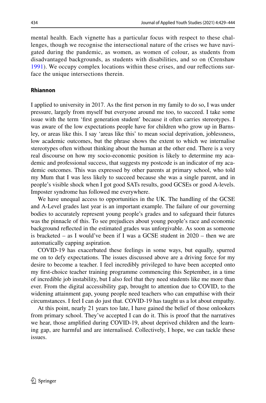mental health. Each vignette has a particular focus with respect to these challenges, though we recognise the intersectional nature of the crises we have navigated during the pandemic, as women, as women of colour, as students from disadvantaged backgrounds, as students with disabilities, and so on (Crenshaw [1991\)](#page-15-16). We occupy complex locations within these crises, and our refections surface the unique intersections therein.

### **Rhiannon**

I applied to university in 2017. As the frst person in my family to do so, I was under pressure, largely from myself but everyone around me too, to succeed. I take some issue with the term 'frst generation student' because it often carries stereotypes. I was aware of the low expectations people have for children who grow up in Barnsley, or areas like this. I say 'areas like this' to mean social deprivation, joblessness, low academic outcomes, but the phrase shows the extent to which we internalise stereotypes often without thinking about the human at the other end. There is a very real discourse on how my socio-economic position is likely to determine my academic and professional success, that suggests my postcode is an indicator of my academic outcomes. This was expressed by other parents at primary school, who told my Mum that I was less likely to succeed because she was a single parent, and in people's visible shock when I got good SATs results, good GCSEs or good A-levels. Imposter syndrome has followed me everywhere.

We have unequal access to opportunities in the UK. The handling of the GCSE and A-Level grades last year is an important example. The failure of our governing bodies to accurately represent young people's grades and to safeguard their futures was the pinnacle of this. To see prejudices about young people's race and economic background refected in the estimated grades was unforgivable. As soon as someone is bracketed – as I would've been if I was a GCSE student in 2020 – then we are automatically capping aspiration.

COVID-19 has exacerbated these feelings in some ways, but equally, spurred me on to defy expectations. The issues discussed above are a driving force for my desire to become a teacher. I feel incredibly privileged to have been accepted onto my frst-choice teacher training programme commencing this September, in a time of incredible job instability, but I also feel that they need students like me more than ever. From the digital accessibility gap, brought to attention due to COVID, to the widening attainment gap, young people need teachers who can empathise with their circumstances. I feel I can do just that. COVID-19 has taught us a lot about empathy.

At this point, nearly 21 years too late, I have gained the belief of those onlookers from primary school. They've accepted I can do it. This is proof that the narratives we hear, those amplifed during COVID-19, about deprived children and the learning gap, are harmful and are internalised. Collectively, I hope, we can tackle these issues.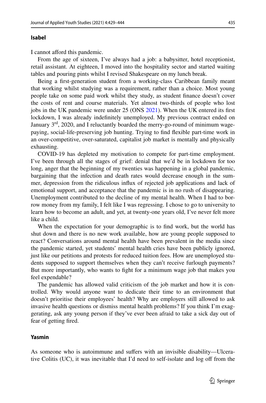### **Isabel**

I cannot afford this pandemic.

From the age of sixteen, I've always had a job: a babysitter, hotel receptionist, retail assistant. At eighteen, I moved into the hospitality sector and started waiting tables and pouring pints whilst I revised Shakespeare on my lunch break.

Being a frst-generation student from a working-class Caribbean family meant that working whilst studying was a requirement, rather than a choice. Most young people take on some paid work whilst they study, as student fnance doesn't cover the costs of rent and course materials. Yet almost two-thirds of people who lost jobs in the UK pandemic were under 25 (ONS [2021](#page-16-3)). When the UK entered its frst lockdown, I was already indefnitely unemployed. My previous contract ended on January  $3<sup>rd</sup>$ , 2020, and I reluctantly boarded the merry-go-round of minimum wagepaying, social-life-preserving job hunting. Trying to fnd fexible part-time work in an over-competitive, over-saturated, capitalist job market is mentally and physically exhausting.

COVID-19 has depleted my motivation to compete for part-time employment. I've been through all the stages of grief: denial that we'd be in lockdown for too long, anger that the beginning of my twenties was happening in a global pandemic, bargaining that the infection and death rates would decrease enough in the summer, depression from the ridiculous infux of rejected job applications and lack of emotional support, and acceptance that the pandemic is in no rush of disappearing. Unemployment contributed to the decline of my mental health. When I had to borrow money from my family, I felt like I was regressing. I chose to go to university to learn how to become an adult, and yet, at twenty-one years old, I've never felt more like a child.

When the expectation for your demographic is to fnd work, but the world has shut down and there is no new work available, how are young people supposed to react? Conversations around mental health have been prevalent in the media since the pandemic started, yet students' mental health cries have been publicly ignored, just like our petitions and protests for reduced tuition fees. How are unemployed students supposed to support themselves when they can't receive furlough payments? But more importantly, who wants to fght for a minimum wage job that makes you feel expendable?

The pandemic has allowed valid criticism of the job market and how it is controlled. Why would anyone want to dedicate their time to an environment that doesn't prioritise their employees' health? Why are employers still allowed to ask invasive health questions or dismiss mental health problems? If you think I'm exaggerating, ask any young person if they've ever been afraid to take a sick day out of fear of getting fred.

#### **Yasmin**

As someone who is autoimmune and sufers with an invisible disability—Ulcerative Colitis (UC), it was inevitable that I'd need to self-isolate and log of from the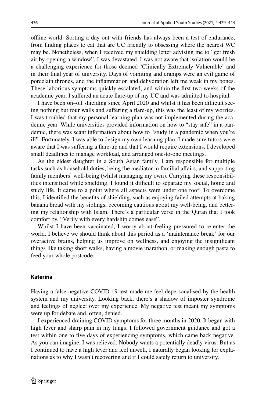ofine world. Sorting a day out with friends has always been a test of endurance, from fnding places to eat that are UC friendly to obsessing where the nearest WC may be. Nonetheless, when I received my shielding letter advising me to "get fresh air by opening a window", I was devastated. I was not aware that isolation would be a challenging experience for those deemed 'Clinically Extremely Vulnerable' and in their fnal year of university. Days of vomiting and cramps were an evil game of porcelain thrones, and the infammation and dehydration left me weak in my bones. These laborious symptoms quickly escalated, and within the frst two weeks of the academic year, I sufered an acute fare-up of my UC and was admitted to hospital.

I have been on–off shielding since April 2020 and whilst it has been difficult seeing nothing but four walls and sufering a fare-up, this was the least of my worries. I was troubled that my personal learning plan was not implemented during the academic year. While universities provided information on how to "stay safe" in a pandemic, there was scant information about how to "study in a pandemic when you're ill". Fortunately, I was able to design my own learning plan. I made sure tutors were aware that I was sufering a fare-up and that I would require extensions, I developed small deadlines to manage workload, and arranged one-to-one meetings.

As the eldest daughter in a South Asian family, I am responsible for multiple tasks such as household duties, being the mediator in familial afairs, and supporting family members' well-being (whilst managing my own). Carrying these responsibilities intensified while shielding. I found it difficult to separate my social, home and study life. It came to a point where all aspects were under one roof. To overcome this, I identifed the benefts of shielding, such as enjoying failed attempts at baking banana bread with my siblings, becoming cautious about my well-being, and bettering my relationship with Islam. There's a particular verse in the Quran that I took comfort by, "Verily with every hardship comes ease".

Whilst I have been vaccinated, I worry about feeling pressured to re-enter the world. I believe we should think about this period as a 'maintenance break' for our overactive brains, helping us improve on wellness, and enjoying the insignifcant things like taking short walks, having a movie marathon, or making enough pasta to feed your whole postcode.

#### **Katerina**

Having a false negative COVID-19 test made me feel depersonalised by the health system and my university. Looking back, there's a shadow of imposter syndrome and feelings of neglect over my experience. My negative test meant my symptoms were up for debate and, often, denied.

I experienced draining COVID symptoms for three months in 2020. It began with high fever and sharp pain in my lungs. I followed government guidance and got a test within one to fve days of experiencing symptoms, which came back negative. As you can imagine, I was relieved. Nobody wants a potentially deadly virus. But as I continued to have a high fever and feel unwell, I naturally began looking for explanations as to why I wasn't recovering and if I could safely return to university.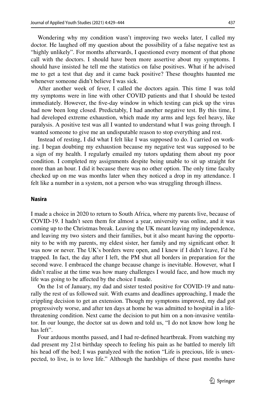Wondering why my condition wasn't improving two weeks later, I called my doctor. He laughed off my question about the possibility of a false negative test as "highly unlikely". For months afterwards, I questioned every moment of that phone call with the doctors. I should have been more assertive about my symptoms. I should have insisted he tell me the statistics on false positives. What if he advised me to get a test that day and it came back positive? These thoughts haunted me whenever someone didn't believe I was sick.

After another week of fever, I called the doctors again. This time I was told my symptoms were in line with other COVID patients and that I should be tested immediately. However, the five-day window in which testing can pick up the virus had now been long closed. Predictably, I had another negative test. By this time, I had developed extreme exhaustion, which made my arms and legs feel heavy, like paralysis. A positive test was all I wanted to understand what I was going through. I wanted someone to give me an undisputable reason to stop everything and rest.

Instead of resting, I did what I felt like I was supposed to do. I carried on working. I began doubting my exhaustion because my negative test was supposed to be a sign of my health. I regularly emailed my tutors updating them about my poor condition. I completed my assignments despite being unable to sit up straight for more than an hour. I did it because there was no other option. The only time faculty checked up on me was months later when they noticed a drop in my attendance. I felt like a number in a system, not a person who was struggling through illness.

### **Nasira**

I made a choice in 2020 to return to South Africa, where my parents live, because of COVID-19. I hadn't seen them for almost a year, university was online, and it was coming up to the Christmas break. Leaving the UK meant leaving my independence, and leaving my two sisters and their families, but it also meant having the opportunity to be with my parents, my eldest sister, her family and my signifcant other. It was now or never. The UK's borders were open, and I knew if I didn't leave, I'd be trapped. In fact, the day after I left, the PM shut all borders in preparation for the second wave. I embraced the change because change is inevitable. However, what I didn't realise at the time was how many challenges I would face, and how much my life was going to be afected by the choice I made.

On the 1st of January, my dad and sister tested positive for COVID-19 and naturally the rest of us followed suit. With exams and deadlines approaching, I made the crippling decision to get an extension. Though my symptoms improved, my dad got progressively worse, and after ten days at home he was admitted to hospital in a lifethreatening condition. Next came the decision to put him on a non-invasive ventilator. In our lounge, the doctor sat us down and told us, "I do not know how long he has left".

Four arduous months passed, and I had re-defned heartbreak. From watching my dad present my 21st birthday speech to feeling his pain as he battled to merely lift his head off the bed; I was paralyzed with the notion "Life is precious, life is unexpected, to live, is to love life." Although the hardships of these past months have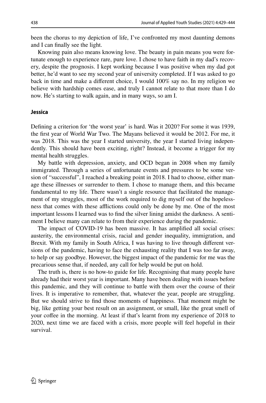been the chorus to my depiction of life, I've confronted my most daunting demons and I can fnally see the light.

Knowing pain also means knowing love. The beauty in pain means you were fortunate enough to experience rare, pure love. I chose to have faith in my dad's recovery, despite the prognosis. I kept working because I was positive when my dad got better, he'd want to see my second year of university completed. If I was asked to go back in time and make a diferent choice, I would 100% say no. In my religion we believe with hardship comes ease, and truly I cannot relate to that more than I do now. He's starting to walk again, and in many ways, so am I.

#### **Jessica**

Defning a criterion for 'the worst year' is hard. Was it 2020? For some it was 1939, the frst year of World War Two. The Mayans believed it would be 2012. For me, it was 2018. This was the year I started university, the year I started living independently. This should have been exciting, right? Instead, it become a trigger for my mental health struggles.

My battle with depression, anxiety, and OCD began in 2008 when my family immigrated. Through a series of unfortunate events and pressures to be some version of "successful", I reached a breaking point in 2018. I had to choose, either manage these illnesses or surrender to them. I chose to manage them, and this became fundamental to my life. There wasn't a single resource that facilitated the management of my struggles, most of the work required to dig myself out of the hopelessness that comes with these afflictions could only be done by me. One of the most important lessons I learned was to fnd the silver lining amidst the darkness. A sentiment I believe many can relate to from their experience during the pandemic.

The impact of COVID-19 has been massive. It has amplifed all social crises: austerity, the environmental crisis, racial and gender inequality, immigration, and Brexit. With my family in South Africa, I was having to live through diferent versions of the pandemic, having to face the exhausting reality that I was too far away, to help or say goodbye. However, the biggest impact of the pandemic for me was the precarious sense that, if needed, any call for help would be put on hold.

The truth is, there is no how-to guide for life. Recognising that many people have already had their worst year is important. Many have been dealing with issues before this pandemic, and they will continue to battle with them over the course of their lives. It is imperative to remember, that, whatever the year, people are struggling. But we should strive to fnd those moments of happiness. That moment might be big, like getting your best result on an assignment, or small, like the great smell of your cofee in the morning. At least if that's learnt from my experience of 2018 to 2020, next time we are faced with a crisis, more people will feel hopeful in their survival.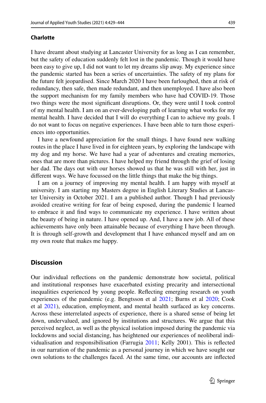### **Charlotte**

I have dreamt about studying at Lancaster University for as long as I can remember, but the safety of education suddenly felt lost in the pandemic. Though it would have been easy to give up, I did not want to let my dreams slip away. My experience since the pandemic started has been a series of uncertainties. The safety of my plans for the future felt jeopardised. Since March 2020 I have been furloughed, then at risk of redundancy, then safe, then made redundant, and then unemployed. I have also been the support mechanism for my family members who have had COVID-19. Those two things were the most signifcant disruptions. Or, they were until I took control of my mental health. I am on an ever-developing path of learning what works for my mental health. I have decided that I will do everything I can to achieve my goals. I do not want to focus on negative experiences. I have been able to turn those experiences into opportunities.

I have a newfound appreciation for the small things. I have found new walking routes in the place I have lived in for eighteen years, by exploring the landscape with my dog and my horse. We have had a year of adventures and creating memories, ones that are more than pictures. I have helped my friend through the grief of losing her dad. The days out with our horses showed us that he was still with her, just in diferent ways. We have focussed on the little things that make the big things.

I am on a journey of improving my mental health. I am happy with myself at university. I am starting my Masters degree in English Literary Studies at Lancaster University in October 2021. I am a published author. Though I had previously avoided creative writing for fear of being exposed, during the pandemic I learned to embrace it and fnd ways to communicate my experience. I have written about the beauty of being in nature. I have opened up. And, I have a new job. All of these achievements have only been attainable because of everything I have been through. It is through self-growth and development that I have enhanced myself and am on my own route that makes me happy.

# **Discussion**

Our individual refections on the pandemic demonstrate how societal, political and institutional responses have exacerbated existing precarity and intersectional inequalities experienced by young people. Refecting emerging research on youth experiences of the pandemic (e.g. Bengtsson et al [2021;](#page-15-17) Burns et al [2020;](#page-15-6) Cook et al [2021](#page-15-9)), education, employment, and mental health surfaced as key concerns. Across these interrelated aspects of experience, there is a shared sense of being let down, undervalued, and ignored by institutions and structures. We argue that this perceived neglect, as well as the physical isolation imposed during the pandemic via lockdowns and social distancing, has heightened our experiences of neoliberal individualisation and responsibilisation (Farrugia [2011](#page-15-18); Kelly 2001). This is refected in our narration of the pandemic as a personal journey in which we have sought our own solutions to the challenges faced. At the same time, our accounts are infected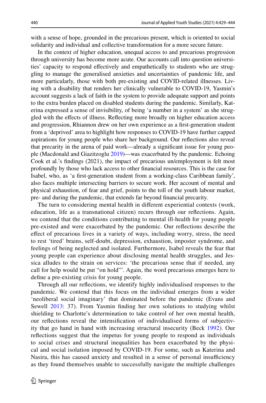with a sense of hope, grounded in the precarious present, which is oriented to social solidarity and individual and collective transformation for a more secure future.

In the context of higher education, unequal access to and precarious progression through university has become more acute. Our accounts call into question universities' capacity to respond efectively and empathetically to students who are struggling to manage the generalised anxieties and uncertainties of pandemic life, and more particularly, those with both pre-existing and COVID-related illnesses. Living with a disability that renders her clinically vulnerable to COVID-19, Yasmin's account suggests a lack of faith in the system to provide adequate support and points to the extra burden placed on disabled students during the pandemic. Similarly, Katerina expressed a sense of invisibility, of being 'a number in a system' as she struggled with the efects of illness. Refecting more broadly on higher education access and progression, Rhiannon drew on her own experience as a frst-generation student from a 'deprived' area to highlight how responses to COVID-19 have further capped aspirations for young people who share her background. Our refections also reveal that precarity in the arena of paid work—already a signifcant issue for young people (Macdonald and Giazitzoglu [2019\)](#page-15-1)—was exacerbated by the pandemic. Echoing Cook et al.'s fndings (2021), the impact of precarious un/employment is felt most profoundly by those who lack access to other fnancial resources. This is the case for Isabel, who, as 'a frst-generation student from a working-class Caribbean family', also faces multiple intersecting barriers to secure work. Her account of mental and physical exhaustion, of fear and grief, points to the toll of the youth labour market, pre- and during the pandemic, that extends far beyond fnancial precarity.

The turn to considering mental health in diferent experiential contexts (work, education, life as a transnational citizen) recurs through our refections. Again, we contend that the conditions contributing to mental ill-health for young people pre-existed and were exacerbated by the pandemic. Our refections describe the efect of precarious lives in a variety of ways, including worry, stress, the need to rest 'tired' brains, self-doubt, depression, exhaustion, imposter syndrome, and feelings of being neglected and isolated. Furthermore, Isabel reveals the fear that young people can experience about disclosing mental health struggles, and Jessica alludes to the strain on services: 'the precarious sense that if needed, any call for help would be put "on hold"'. Again, the word precarious emerges here to defne a pre-existing crisis for young people.

Through all our refections, we identify highly individualised responses to the pandemic. We contend that this focus on the individual emerges from a wider 'neoliberal social imaginary' that dominated before the pandemic (Evans and Sewell [2013:](#page-15-19) 37). From Yasmin fnding her own solutions to studying whilst shielding to Charlotte's determination to take control of her own mental health, our refections reveal the intensifcation of individualised forms of subjectivity that go hand in hand with increasing structural insecurity (Beck [1992\)](#page-15-20). Our refections suggest that the impetus for young people to respond as individuals to social crises and structural inequalities has been exacerbated by the physical and social isolation imposed by COVID-19. For some, such as Katerina and Nasira, this has caused anxiety and resulted in a sense of personal insufficiency as they found themselves unable to successfully navigate the multiple challenges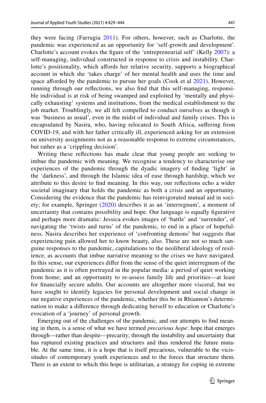they were facing (Farrugia [2011](#page-15-18)). For others, however, such as Charlotte, the pandemic was experienced as an opportunity for 'self-growth and development'. Charlotte's account evokes the fgure of the 'entrepreneurial self' (Kelly [2007\)](#page-15-21): a self-managing, individual constructed in response to crisis and instability. Charlotte's positionality, which affords her relative security, supports a biographical account in which she 'takes charge' of her mental health and uses the time and space afforded by the pandemic to pursue her goals (Cook et al [2021](#page-15-9)). However, running through our refections, we also fnd that this self-managing, responsible individual is at risk of being swamped and exploited by 'mentally and physically exhausting' systems and institutions, from the medical establishment to the job market. Troublingly, we all felt compelled to conduct ourselves as though it was 'business as usual', even in the midst of individual and family crises. This is encapsulated by Nasira, who, having relocated to South Africa, sufering from COVID-19, and with her father critically ill, experienced asking for an extension on university assignments not as a reasonable response to extreme circumstances, but rather as a 'crippling decision'.

Writing these refections has made clear that young people are seeking to imbue the pandemic with meaning. We recognise a tendency to characterise our experiences of the pandemic through the dyadic imagery of fnding 'light' in the 'darkness', and through the Islamic idea of ease through hardship, which we attribute to this desire to fnd meaning. In this way, our refections echo a wider societal imaginary that holds the pandemic as both a crisis and an opportunity. Considering the evidence that the pandemic has reinvigorated mutual aid in society; for example, Springer ([2020\)](#page-16-4) describes it as an 'interregnum', a moment of uncertainty that contains possibility and hope. Our language is equally fgurative and perhaps more dramatic: Jessica evokes images of 'battle' and 'surrender', of navigating the 'twists and turns' of the pandemic, to end in a place of hopefulness. Nasira describes her experience of 'confronting demons' but suggests that experiencing pain allowed her to know beauty, also. These are not so much sanguine responses to the pandemic, capitulations to the neoliberal ideology of resilience, as accounts that imbue narrative meaning to the crises we have navigated. In this sense, our experiences difer from the sense of the quiet interregnum of the pandemic as it is often portrayed in the popular media: a period of quiet working from home; and an opportunity to re-assess family life and priorities—at least for fnancially secure adults. Our accounts are altogether more visceral, but we have sought to identify legacies for personal development and social change in our negative experiences of the pandemic, whether this be in Rhiannon's determination to make a diference through dedicating herself to education or Charlotte's evocation of a 'journey' of personal growth.

Emerging out of the challenges of the pandemic, and our attempts to fnd meaning in them, is a sense of what we have termed *precarious hope*: hope that emerges through—rather than despite—precarity; through the instability and uncertainty that has ruptured existing practices and structures and thus rendered the future mutable. At the same time, it is a hope that is itself precarious, vulnerable to the vicissitudes of contemporary youth experiences and to the forces that structure them. There is an extent to which this hope is utilitarian, a strategy for coping in extreme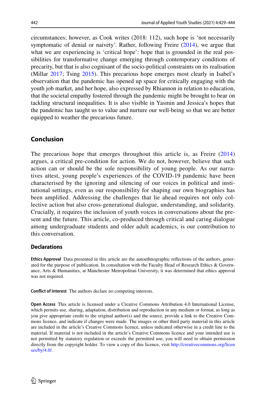circumstances; however, as Cook writes (2018: 112), such hope is 'not necessarily symptomatic of denial or naivety'. Rather, following Freire ([2014\)](#page-15-22), we argue that what we are experiencing is 'critical hope': hope that is grounded in the real possibilities for transformative change emerging through contemporary conditions of precarity, but that is also cognisant of the socio-political constraints on its realisation (Millar [2017](#page-15-23); Tsing [2015\)](#page-16-5). This precarious hope emerges most clearly in Isabel's observation that the pandemic has opened up space for critically engaging with the youth job market, and her hope, also expressed by Rhiannon in relation to education, that the societal empathy fostered through the pandemic might be brought to bear on tackling structural inequalities. It is also visible in Yasmin and Jessica's hopes that the pandemic has taught us to value and nurture our well-being so that we are better equipped to weather the precarious future.

# **Conclusion**

The precarious hope that emerges throughout this article is, as Freire [\(2014](#page-15-22)) argues, a critical pre-condition for action. We do not, however, believe that such action can or should be the sole responsibility of young people. As our narratives attest, young people's experiences of the COVID-19 pandemic have been characterised by the ignoring and silencing of our voices in political and institutional settings, even as our responsibility for shaping our own biographies has been amplifed. Addressing the challenges that lie ahead requires not only collective action but also cross-generational dialogue, understanding, and solidarity. Crucially, it requires the inclusion of youth voices in conversations about the present and the future. This article, co-produced through critical and caring dialogue among undergraduate students and older adult academics, is our contribution to this conversation.

### **Declarations**

**Ethics Approval** Data presented in this article are the autoethnographic refections of the authors, generated for the purpose of publication. In consultation with the Faculty Head of Research Ethics & Governance, Arts & Humanities, at Manchester Metropolitan University, it was determined that ethics approval was not required.

**Confict of Interest** The authors declare no competing interests.

**Open Access** This article is licensed under a Creative Commons Attribution 4.0 International License, which permits use, sharing, adaptation, distribution and reproduction in any medium or format, as long as you give appropriate credit to the original author(s) and the source, provide a link to the Creative Commons licence, and indicate if changes were made. The images or other third party material in this article are included in the article's Creative Commons licence, unless indicated otherwise in a credit line to the material. If material is not included in the article's Creative Commons licence and your intended use is not permitted by statutory regulation or exceeds the permitted use, you will need to obtain permission directly from the copyright holder. To view a copy of this licence, visit [http://creativecommons.org/licen](http://creativecommons.org/licenses/by/4.0/) [ses/by/4.0/](http://creativecommons.org/licenses/by/4.0/).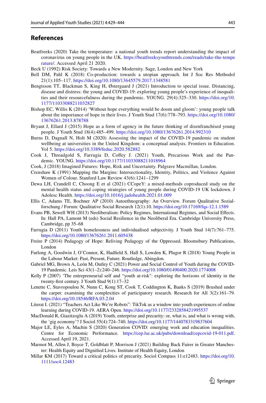# **References**

- <span id="page-15-7"></span>Beatfreeks (2020) Take the temperature: a national youth trends report understanding the impact of coronavirus on young people in the UK. [https://beatfreeksyouthtrends.com/reads/take-the-tempe](https://beatfreeksyouthtrends.com/reads/take-the-temperature/) [rature/.](https://beatfreeksyouthtrends.com/reads/take-the-temperature/) Accessed April 21 2020.
- <span id="page-15-20"></span>Beck U (1992) Risk Society: Towards a New Modernity. Sage, London and New York
- <span id="page-15-13"></span>Bell DM, Pahl K (2018) Co-production: towards a utopian approach. Int J Soc Res Methodol 21(1):105–117.<https://doi.org/10.1080/13645579.2017.1348581>
- <span id="page-15-17"></span>Bengtsson TT, Blackman S, King H, Østergaard J (2021) Introduction to special issue. Distancing, disease and distress: the young and COVID-19: exploring young people's experience of inequalities and their resourcefulness during the pandemic. YOUNG. 29(4):325–330. [https://doi.org/10.](https://doi.org/10.1177/11033088211032827) [1177/11033088211032827](https://doi.org/10.1177/11033088211032827)
- <span id="page-15-11"></span>Bishop EC, Willis K (2014) 'Without hope everything would be doom and gloom': young people talk about the importance of hope in their lives. J Youth Stud 17(6):778–793. [https://doi.org/10.1080/](https://doi.org/10.1080/13676261.2013.878788) [13676261.2013.878788](https://doi.org/10.1080/13676261.2013.878788)
- <span id="page-15-12"></span>Bryant J, Ellard J (2015) Hope as a form of agency in the future thinking of disenfranchised young people. J Youth Stud 18(4):485–499. <https://doi.org/10.1080/13676261.2014.992310>
- <span id="page-15-6"></span>Burns D, Dagnall N, Holt M (2020) Assessing the impact of the COVID-19 pandemic on student wellbeing at universities in the United Kingdom: a conceptual analysis. Frontiers in Education. Vol 5.<https://doi.org/10.3389/feduc.2020.582882>
- <span id="page-15-9"></span>Cook J, Threadgold S, Farrugia D, Cofey J. (2021) Youth, Precarious Work and the Pandemic. YOUNG. <https://doi.org/10.1177/11033088211018964>
- <span id="page-15-10"></span>Cook, J (2018) Imagined Futures: Hope, Risk and Uncertainty. Palgrave Macmillan, London.
- <span id="page-15-16"></span>Crenshaw K (1991) Mapping the Margins: Intersectionality, Identity, Politics, and Violence Against Women of Colour. Stanford Law Review 43(6):1241–1299
- <span id="page-15-8"></span>Dewa LH, Crandell C, Choong E et al (2021) CCopeY: a mixed-methods coproduced study on the mental health status and coping strategies of young people during COVID-19 UK lockdown. J Adolesc Health.<https://doi.org/10.1016/j.jadohealth.2021.01.009>
- <span id="page-15-14"></span>Ellis C, Adams TE, Bochner AP (2010) Autoethnography: An Overview. Forum Qualitative Sozialforschung / Forum: Qualitative Social Research 12(1):10. <https://doi.org/10.17169/fqs-12.1.1589>
- <span id="page-15-19"></span>Evans PB, Sewell WH (2013) Neoliberalism: Policy Regimes, International Regimes, and Social Efects. In: Hall PA, Lamont M (eds) Social Resilience in the Neoliberal Era. Cambridge University Press, Cambridge, pp 35–68
- <span id="page-15-18"></span>Farrugia D (2011) Youth homelessness and individualised subjectivity. J Youth Stud 14(7):761–775. <https://doi.org/10.1080/13676261.2011.605438>
- <span id="page-15-22"></span>Freire P (2014) Pedagogy of Hope: Reliving Pedagogy of the Oppressed. Bloomsbury Publications, London
- <span id="page-15-2"></span>Furlong A, Goodwin J, O'Connor, K, Hadfeld S, Hall S, Lowden K, Plugor R (2018) Young People in the Labour Market: Past, Present, Future. Routledge, Abingdon.
- <span id="page-15-0"></span>Gabriel MG, Brown A, León M, Outley C (2021) Power and Social Control of Youth during the COVID-19 Pandemic. Leis Sci 43(1–2):240–246.<https://doi.org/10.1080/01490400.2020.1774008>
- <span id="page-15-21"></span>Kelly P (2007) 'The entrepreneurial self and "youth at-risk": exploring the horizons of identity in the twenty-frst century. J Youth Stud 9(1):17–32
- <span id="page-15-15"></span>Lenette C, Stavropoulou N, Nunn C, Kong ST, Cook T, Coddington K, Banks S (2019) Brushed under the carpet: examining the complexities of participatory research. Research for All 3(2):161–79. <https://doi.org/10.18546/RFA.03.2.04>
- <span id="page-15-4"></span>Literat I. (2021) "Teachers Act Like We're Robots": TikTok as a window into youth experiences of online learning during COVID-19. AERA Open.<https://doi.org/10.1177/2332858421995537>
- <span id="page-15-1"></span>MacDonald R, Giazitzoglu A (2019) Youth, enterprise and precarity: or, what is, and what is wrong with, the 'gig economy'? J Sociol 55(4):724–740.<https://doi.org/10.1177/1440783319837604>
- <span id="page-15-5"></span>Major LE, Eyles A, Machin S (2020) Generation COVID: emerging work and education inequalities. Centre for Economic Performance. <https://cep.lse.ac.uk/pubs/download/cepcovid-19-011.pdf>. Accessed April 19, 2021.
- <span id="page-15-3"></span>Marmot M, Allen J, Boyce T, Goldblatt P, Morrison J (2021) Building Back Fairer in Greater Manchester: Health Equity and Dignifed Lives. Institute of Health Equity, London
- <span id="page-15-23"></span>Millar KM (2017) Toward a critical politics of precarity. Sociol Compass 11:e12483. [https://doi.org/10.](https://doi.org/10.1111/soc4.12483) [1111/soc4.12483](https://doi.org/10.1111/soc4.12483)